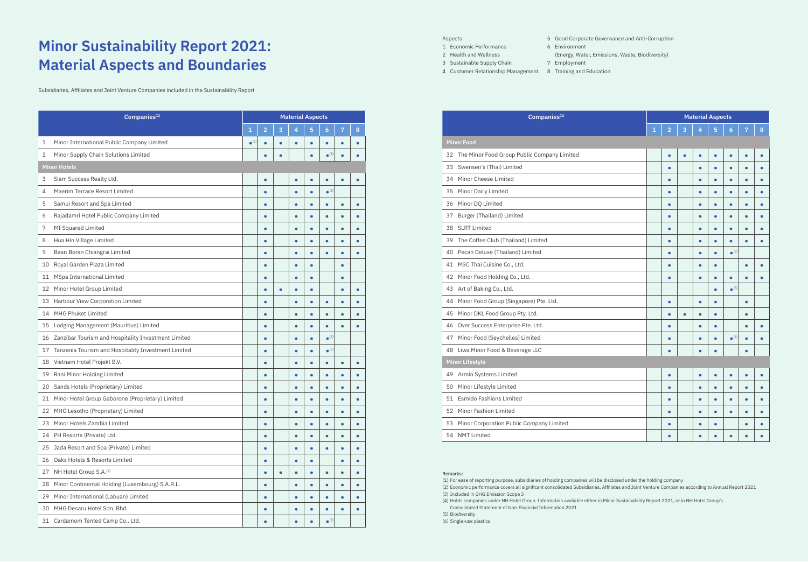## **Minor Sustainability Report 2021: Material Aspects and Boundaries**

Subsidiaries, Affiliates and Joint Venture Companies included in the Sustainability Report

| Companies <sup>(1)</sup>                               |                          |                |           | <b>Material Aspects</b> |                |                          |           |           |
|--------------------------------------------------------|--------------------------|----------------|-----------|-------------------------|----------------|--------------------------|-----------|-----------|
|                                                        | $\mathbf 1$              | $\overline{2}$ | 3         | 4                       | $\overline{5}$ | $\overline{6}$           | 7         | 8         |
| Minor International Public Company Limited<br>1        | $\bullet$ <sup>(2)</sup> | $\bullet$      | $\bullet$ | $\bullet$               |                | $\bullet$                | $\bullet$ | $\bullet$ |
| 2 Minor Supply Chain Solutions Limited                 |                          | $\bullet$      | $\bullet$ |                         | $\bullet$      | $\bullet$ <sup>(3)</sup> | $\bullet$ | $\bullet$ |
| <b>Minor Hotels</b>                                    |                          |                |           |                         |                |                          |           |           |
| Siam Success Realty Ltd.<br>3                          |                          | $\bullet$      |           | $\bullet$               |                | $\bullet$                | $\bullet$ | $\bullet$ |
| Maerim Terrace Resort Limited<br>4                     |                          | $\bullet$      |           | $\bullet$               | $\bullet$      | $\bullet$ <sup>(3)</sup> |           |           |
| Samui Resort and Spa Limited<br>5                      |                          | $\bullet$      |           | $\bullet$               |                | $\bullet$                | $\bullet$ | $\bullet$ |
| Rajadamri Hotel Public Company Limited<br>6            |                          | $\bullet$      |           | $\bullet$               |                | $\bullet$                | $\bullet$ | $\bullet$ |
| MI Squared Limited<br>7                                |                          | $\bullet$      |           | $\bullet$               |                | $\bullet$                | $\bullet$ | $\bullet$ |
| Hua Hin Village Limited<br>8                           |                          | $\bullet$      |           | $\bullet$               |                | $\bullet$                | $\bullet$ | $\bullet$ |
| Baan Boran Chiangrai Limited<br>9                      |                          | $\bullet$      |           | $\bullet$               |                | $\bullet$                | $\bullet$ | $\bullet$ |
| 10 Royal Garden Plaza Limited                          |                          | $\bullet$      |           | $\bullet$               |                |                          | $\bullet$ |           |
| 11 MSpa International Limited                          |                          | $\bullet$      |           | $\bullet$               |                |                          | $\bullet$ |           |
| 12 Minor Hotel Group Limited                           |                          | $\bullet$      | $\bullet$ | $\bullet$               |                |                          | $\bullet$ | $\bullet$ |
| 13 Harbour View Corporation Limited                    |                          | $\bullet$      |           | $\bullet$               |                | $\bullet$                | $\bullet$ | $\bullet$ |
| 14 MHG Phuket Limited                                  |                          | $\bullet$      |           | $\bullet$               |                | $\bullet$                | $\bullet$ | $\bullet$ |
| 15 Lodging Management (Mauritius) Limited              |                          | $\bullet$      |           | $\bullet$               |                | $\bullet$                | $\bullet$ | $\bullet$ |
| 16 Zanzibar Tourism and Hospitality Investment Limited |                          | $\bullet$      |           | $\bullet$               |                | $\bullet$ <sup>(5)</sup> |           |           |
| 17 Tanzania Tourism and Hospitality Investment Limited |                          | $\bullet$      |           | $\bullet$               | $\bullet$      | $\bullet$ <sup>(5)</sup> |           |           |
| 18 Vietnam Hotel Projekt B.V.                          |                          | $\bullet$      |           | $\bullet$               |                | $\bullet$                | $\bullet$ | $\bullet$ |
| 19 Rani Minor Holding Limited                          |                          | $\bullet$      |           | $\bullet$               |                | $\bullet$                | $\bullet$ | $\bullet$ |
| 20 Sands Hotels (Proprietary) Limited                  |                          | $\bullet$      |           | $\bullet$               |                | $\bullet$                | $\bullet$ | $\bullet$ |
| 21 Minor Hotel Group Gaborone (Proprietary) Limited    |                          | $\bullet$      |           | $\bullet$               |                | $\bullet$                | $\bullet$ | $\bullet$ |
| 22 MHG Lesotho (Proprietary) Limited                   |                          | $\bullet$      |           | $\bullet$               |                | ٠                        | $\bullet$ | $\bullet$ |
| 23 Minor Hotels Zambia Limited                         |                          | $\bullet$      |           | $\bullet$               | $\bullet$      | $\bullet$                | $\bullet$ | $\bullet$ |
| 24 PH Resorts (Private) Ltd.                           |                          | $\bullet$      |           | $\bullet$               | $\bullet$      | $\bullet$                | $\bullet$ | $\bullet$ |
| 25 Jada Resort and Spa (Private) Limited               |                          | $\bullet$      |           | $\bullet$               |                | $\bullet$                | $\bullet$ | $\bullet$ |
| 26 Oaks Hotels & Resorts Limited                       |                          | $\bullet$      |           | $\bullet$               | $\bullet$      |                          | $\bullet$ | $\bullet$ |
| 27 NH Hotel Group S.A. <sup>(4)</sup>                  |                          | $\bullet$      | $\bullet$ | $\bullet$               | $\bullet$      | $\bullet$                | $\bullet$ | $\bullet$ |
| 28 Minor Continental Holding (Luxembourg) S.A.R.L.     |                          | $\bullet$      |           | $\bullet$               | $\bullet$      | $\bullet$                | $\bullet$ | $\bullet$ |
| 29 Minor International (Labuan) Limited                |                          | $\bullet$      |           | $\bullet$               |                | $\bullet$                | $\bullet$ | $\bullet$ |
| 30 MHG Desaru Hotel Sdn. Bhd.                          |                          | $\bullet$      |           | $\bullet$               | $\bullet$      | $\bullet$                | $\bullet$ | $\bullet$ |
| 31 Cardamom Tented Camp Co., Ltd.                      |                          | $\bullet$      |           | $\bullet$               |                | $\bullet$ <sup>(5)</sup> |           |           |

(4) Holds companies under NH Hotel Group. Information available either in Minor Sustainability Report 2021, or in NH Hotel Group's (4) نساب السلطاني (4) Holds companies under NH Hotel Group. Information available either in (4) Planet: https://www.minor.com/storage/download/sustainability-reports/2021/mint-planet-en.pdf Consolidated Statement of Non-Financial Information 2021

| Companies <sup>(1)</sup>                          |   |                |   | <b>Material Aspects</b> |           |                          |           |   |
|---------------------------------------------------|---|----------------|---|-------------------------|-----------|--------------------------|-----------|---|
|                                                   | 1 | $\overline{2}$ | 3 | 4                       | 5         | 6                        | 7         | 8 |
| <b>Minor Food</b>                                 |   |                |   |                         |           |                          |           |   |
| The Minor Food Group Public Company Limited<br>32 |   | $\bullet$      | ٠ |                         | $\bullet$ | $\bullet$                | $\bullet$ |   |
| Swensen's (Thai) Limited<br>33                    |   |                |   |                         | $\bullet$ | $\bullet$                | $\bullet$ |   |
| Minor Cheese Limited<br>34                        |   | с              |   |                         | $\bullet$ | $\bullet$                | $\bullet$ |   |
| Minor Dairy Limited<br>35                         |   |                |   |                         | $\bullet$ | $\bullet$                | $\bullet$ |   |
| Minor DQ Limited<br>36                            |   |                |   |                         | $\bullet$ | $\bullet$                | $\bullet$ |   |
| Burger (Thailand) Limited<br>37                   |   |                |   |                         | $\bullet$ | $\bullet$                |           |   |
| <b>SLRT Limited</b><br>38                         |   | ٠              |   |                         | $\bullet$ | $\bullet$                | $\bullet$ |   |
| The Coffee Club (Thailand) Limited<br>39          |   |                |   |                         | $\bullet$ | $\bullet$                | $\bullet$ |   |
| Pecan Deluxe (Thailand) Limited<br>40             |   |                |   |                         | $\bullet$ | $\bullet$ <sup>(3)</sup> |           |   |
| MSC Thai Cuisine Co., Ltd.<br>41                  |   |                |   |                         | $\bullet$ |                          | $\bullet$ |   |
| Minor Food Holding Co., Ltd.<br>42                |   |                |   |                         | $\bullet$ | $\bullet$                | $\bullet$ |   |
| Art of Baking Co., Ltd.<br>43                     |   |                |   |                         | $\bullet$ | $\bullet$ <sup>(5)</sup> |           |   |
| Minor Food Group (Singapore) Pte. Ltd.<br>44      |   | $\bullet$      |   |                         | $\bullet$ |                          | $\bullet$ |   |
| Minor DKL Food Group Pty. Ltd.<br>45              |   |                |   |                         | $\bullet$ |                          | $\bullet$ |   |
| Over Success Enterprise Pte. Ltd.<br>46           |   | $\bullet$      |   |                         | $\bullet$ |                          | $\bullet$ |   |
| Minor Food (Seychelles) Limited<br>47             |   |                |   |                         | $\bullet$ | $\bullet$ <sup>(6)</sup> | $\bullet$ |   |
| Liwa Minor Food & Beverage LLC<br>48              |   |                |   |                         |           |                          |           |   |
| <b>Minor Lifestyle</b>                            |   |                |   |                         |           |                          |           |   |
| Armin Systems Limited<br>49                       |   | $\bullet$      |   | $\bullet$               | $\bullet$ | $\bullet$                | $\bullet$ |   |
| Minor Lifestyle Limited<br>50                     |   | $\bullet$      |   |                         | $\bullet$ | $\bullet$                | $\bullet$ |   |
| <b>Esmido Fashions Limited</b><br>51              |   |                |   |                         | $\bullet$ | $\bullet$                | $\bullet$ |   |
| Minor Fashion Limited<br>52                       |   |                |   |                         | $\bullet$ | $\bullet$                |           |   |
| Minor Corporation Public Company Limited<br>53    |   | с              |   |                         | $\bullet$ |                          |           |   |
| 54 NMT Limited                                    |   |                |   |                         | ō         |                          |           |   |

(1) For ease of reporting purpose, subsidiaries of holding companies will be disclosed under the holding company (2) Economic performance covers all significant consolidated Subsidiaries, Affiliates and Joint Venture Companies according to Annual Report 2021

Aspects

- Economic Performance
- Health and Wellness
- Sustainable Supply Chain
- Customer Relationship Management 8 Training and Education

Good Corporate Governance and Anti-Corruption

Environment

(Energy, Water, Emissions, Waste, Biodiversity)

Employment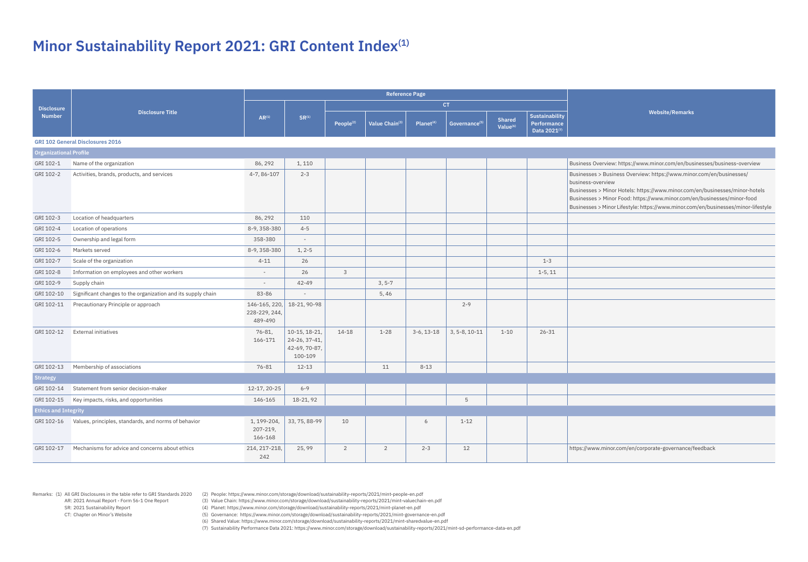AR: 2021 Annual Report - Form 56-1 One Report SR: 2021 Sustainability Report

Remarks: (1) All GRI Disclosures in the table refer to GRI Standards 2020 (2) People: https://www.minor.com/storage/download/sustainability-reports/2021/mint-people-en.pdf

CT: Chapter on Minor's Website

(3) Value Chain: https://www.minor.com/storage/download/sustainability-reports/2021/mint-valuechain-en.pdf (4) Planet: https://www.minor.com/storage/download/sustainability-reports/2021/mint-planet-en.pdf

(5) Governance: https://www.minor.com/storage/download/sustainability-reports/2021/mint-governance-en.pdf

(6) Shared Value: https://www.minor.com/storage/download/sustainability-reports/2021/mint-sharedvalue-en.pdf

(7) Sustainability Performance Data 2021: https://www.minor.com/storage/download/sustainability-reports/2021/mint-sd-performance-data-en.pdf

## **Minor Sustainability Report 2021: GRI Content Index(1)**

**Website/Remarks**

ew: https://www.minor.com/en/businesses/business-overview

siness Overview: [https://www.minor.com/en/businesses/](https://www.minor.com/en/businesses/business-overview)

hor Hotels: https://www.minor.com/en/businesses/minor-hotels hor Food: https://www.minor.com/en/businesses/minor-food hor Lifestyle: https://www.minor.com/en/businesses/minor-lifestyle

or.com/en/corporate-governance/feedback

| <b>Disclosure</b>             |                                                              |                                           |                                                            |                       |                |                       | <b>CT</b>                 |                                       |                                                             |                                                                                                                                                |
|-------------------------------|--------------------------------------------------------------|-------------------------------------------|------------------------------------------------------------|-----------------------|----------------|-----------------------|---------------------------|---------------------------------------|-------------------------------------------------------------|------------------------------------------------------------------------------------------------------------------------------------------------|
| <b>Number</b>                 | <b>Disclosure Title</b>                                      | $AR^{(1)}$                                | $SR^{(1)}$                                                 | People <sup>(2)</sup> | Value Chain(3) | Planet <sup>(4)</sup> | Governance <sup>(5)</sup> | <b>Shared</b><br>Value <sup>(6)</sup> | <b>Sustainability</b><br><b>Performance</b><br>Data 2021(7) |                                                                                                                                                |
|                               | <b>GRI 102 General Disclosures 2016</b>                      |                                           |                                                            |                       |                |                       |                           |                                       |                                                             |                                                                                                                                                |
| <b>Organizational Profile</b> |                                                              |                                           |                                                            |                       |                |                       |                           |                                       |                                                             |                                                                                                                                                |
| GRI 102-1                     | Name of the organization                                     | 86, 292                                   | 1,110                                                      |                       |                |                       |                           |                                       |                                                             | <b>Business Overview</b>                                                                                                                       |
| GRI 102-2                     | Activities, brands, products, and services                   | 4-7, 86-107                               | $2 - 3$                                                    |                       |                |                       |                           |                                       |                                                             | <b>Businesses &gt; Busir</b><br>business-overview<br><b>Businesses &gt; Mino</b><br><b>Businesses &gt; Mino</b><br><b>Businesses &gt; Mino</b> |
| GRI 102-3                     | Location of headquarters                                     | 86, 292                                   | 110                                                        |                       |                |                       |                           |                                       |                                                             |                                                                                                                                                |
| GRI 102-4                     | Location of operations                                       | 8-9, 358-380                              | $4 - 5$                                                    |                       |                |                       |                           |                                       |                                                             |                                                                                                                                                |
| GRI 102-5                     | Ownership and legal form                                     | 358-380                                   | $\overline{\phantom{a}}$                                   |                       |                |                       |                           |                                       |                                                             |                                                                                                                                                |
| GRI 102-6                     | Markets served                                               | 8-9, 358-380                              | $1, 2-5$                                                   |                       |                |                       |                           |                                       |                                                             |                                                                                                                                                |
| GRI 102-7                     | Scale of the organization                                    | $4 - 11$                                  | 26                                                         |                       |                |                       |                           |                                       | $1 - 3$                                                     |                                                                                                                                                |
| GRI 102-8                     | Information on employees and other workers                   |                                           | 26                                                         | $\mathbf{3}$          |                |                       |                           |                                       | $1-5, 11$                                                   |                                                                                                                                                |
| GRI 102-9                     | Supply chain                                                 |                                           | 42-49                                                      |                       | $3, 5-7$       |                       |                           |                                       |                                                             |                                                                                                                                                |
| GRI 102-10                    | Significant changes to the organization and its supply chain | 83-86                                     | $\overline{\phantom{a}}$                                   |                       | 5,46           |                       |                           |                                       |                                                             |                                                                                                                                                |
| GRI 102-11                    | Precautionary Principle or approach                          | 146-165, 220,<br>228-229, 244,<br>489-490 | 18-21, 90-98                                               |                       |                |                       | $2 - 9$                   |                                       |                                                             |                                                                                                                                                |
| GRI 102-12                    | <b>External initiatives</b>                                  | 76-81,<br>166-171                         | 10-15, 18-21,<br>24-26, 37-41,<br>42-69, 70-87,<br>100-109 | 14-18                 | $1 - 28$       | $3-6, 13-18$          | $3, 5 - 8, 10 - 11$       | $1 - 10$                              | $26 - 31$                                                   |                                                                                                                                                |
| GRI 102-13                    | Membership of associations                                   | 76-81                                     | $12 - 13$                                                  |                       | 11             | $8 - 13$              |                           |                                       |                                                             |                                                                                                                                                |
| <b>Strategy</b>               |                                                              |                                           |                                                            |                       |                |                       |                           |                                       |                                                             |                                                                                                                                                |
| GRI 102-14                    | Statement from senior decision-maker                         | 12-17, 20-25                              | $6 - 9$                                                    |                       |                |                       |                           |                                       |                                                             |                                                                                                                                                |
| GRI 102-15                    | Key impacts, risks, and opportunities                        | 146-165                                   | 18-21, 92                                                  |                       |                |                       | 5                         |                                       |                                                             |                                                                                                                                                |
| <b>Ethics and Integrity</b>   |                                                              |                                           |                                                            |                       |                |                       |                           |                                       |                                                             |                                                                                                                                                |
| GRI 102-16                    | Values, principles, standards, and norms of behavior         | 1, 199-204,<br>207-219,<br>166-168        | 33, 75, 88-99                                              | 10                    |                | 6                     | $1 - 12$                  |                                       |                                                             |                                                                                                                                                |
| GRI 102-17                    | Mechanisms for advice and concerns about ethics              | 214, 217-218,<br>242                      | 25, 99                                                     | $\overline{2}$        | $\overline{2}$ | $2 - 3$               | 12                        |                                       |                                                             | https://www.minor                                                                                                                              |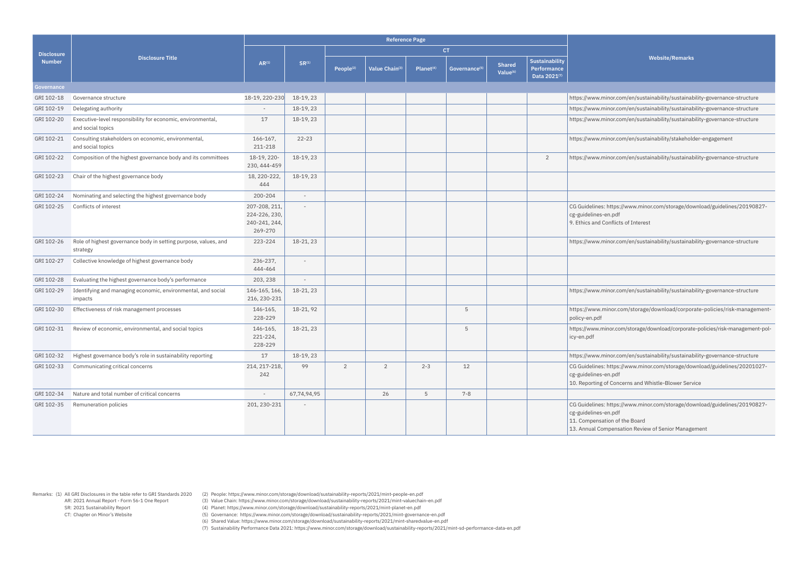Remarks: (1) All GRI Disclosures in the table refer to GRI Standards 2020 AR: 2021 Annual Report - Form 56-1 One Report SR: 2021 Sustainability Report CT: Chapter on Minor's Website

(2) People: https://www.minor.com/storage/download/sustainability-reports/2021/mint-people-en.pdf

(3) Value Chain: https://www.minor.com/storage/download/sustainability-reports/2021/mint-valuechain-en.pdf

(4) Planet: https://www.minor.com/storage/download/sustainability-reports/2021/mint-planet-en.pdf

(5) Governance: https://www.minor.com/storage/download/sustainability-reports/2021/mint-governance-en.pdf

(6) Shared Value: https://www.minor.com/storage/download/sustainability-reports/2021/mint-sharedvalue-en.pdf

(7) Sustainability Performance Data 2021: https://www.minor.com/storage/download/sustainability-reports/2021/mint-sd-performance-data-en.pdf

**Website/Remarks**

or.com/en/sustainability/sustainability-governance-structure

or.com/en/sustainability/sustainability-governance-structure

or.com/en/sustainability/sustainability-governance-structure

or.com/en/sustainability/stakeholder-engagement

or.com/en/sustainability/sustainability-governance-structure

ttps://www.minor.com/storage/download/guidelines/20190827bdf.

nflicts of Interest

or.com/en/sustainability/sustainability-governance-structure

or.com/en/sustainability/sustainability-governance-structure

18-10-210-21, 18-2000-anjor.com/storage/download/corporate-policies/risk-management

or.com/storage/download/corporate-policies/risk-management-pol-

or.com/en/sustainability/sustainability-governance-structure

ttps://www.minor.com/storage/download/guidelines/20201027pdf

Concerns and Whistle-Blower Service

ttps://www.minor.com/storage/download/guidelines/20190827-

pdf

on of the Board

13. Jensation Review of Senior Management

|                   |                                                                                  |                                                            |                          |                       | <b>Reference Page</b> |                       |                           |                                       |                                                      |                                                                              |
|-------------------|----------------------------------------------------------------------------------|------------------------------------------------------------|--------------------------|-----------------------|-----------------------|-----------------------|---------------------------|---------------------------------------|------------------------------------------------------|------------------------------------------------------------------------------|
| <b>Disclosure</b> |                                                                                  |                                                            |                          |                       |                       |                       | <b>CT</b>                 |                                       |                                                      |                                                                              |
| <b>Number</b>     | <b>Disclosure Title</b>                                                          | $AR^{(1)}$                                                 | $SR^{(1)}$               | People <sup>(2)</sup> | Value Chain(3)        | Planet <sup>(4)</sup> | Governance <sup>(5)</sup> | <b>Shared</b><br>Value <sup>(6)</sup> | <b>Sustainability</b><br>Performance<br>Data 2021(7) |                                                                              |
| Governance        |                                                                                  |                                                            |                          |                       |                       |                       |                           |                                       |                                                      |                                                                              |
| GRI 102-18        | Governance structure                                                             | 18-19, 220-230                                             | 18-19, 23                |                       |                       |                       |                           |                                       |                                                      | https://www.mino                                                             |
| GRI 102-19        | Delegating authority                                                             |                                                            | 18-19, 23                |                       |                       |                       |                           |                                       |                                                      | https://www.mino                                                             |
| GRI 102-20        | Executive-level responsibility for economic, environmental,<br>and social topics | 17                                                         | 18-19, 23                |                       |                       |                       |                           |                                       |                                                      | https://www.mino                                                             |
| GRI 102-21        | Consulting stakeholders on economic, environmental,<br>and social topics         | $166 - 167$ ,<br>211-218                                   | $22 - 23$                |                       |                       |                       |                           |                                       |                                                      | https://www.mino                                                             |
| GRI 102-22        | Composition of the highest governance body and its committees                    | 18-19, 220-<br>230, 444-459                                | 18-19, 23                |                       |                       |                       |                           |                                       | $\overline{2}$                                       | https://www.mino                                                             |
| GRI 102-23        | Chair of the highest governance body                                             | 18, 220-222,<br>444                                        | 18-19, 23                |                       |                       |                       |                           |                                       |                                                      |                                                                              |
| GRI 102-24        | Nominating and selecting the highest governance body                             | 200-204                                                    | $\overline{\phantom{a}}$ |                       |                       |                       |                           |                                       |                                                      |                                                                              |
| GRI 102-25        | Conflicts of interest                                                            | 207-208, 211,<br>224-226, 230,<br>240-241, 244,<br>269-270 |                          |                       |                       |                       |                           |                                       |                                                      | CG Guidelines: ht<br>cg-guidelines-en.<br>9. Ethics and Con                  |
| GRI 102-26        | Role of highest governance body in setting purpose, values, and<br>strategy      | 223-224                                                    | 18-21, 23                |                       |                       |                       |                           |                                       |                                                      | https://www.mino                                                             |
| GRI 102-27        | Collective knowledge of highest governance body                                  | 236-237,<br>444-464                                        |                          |                       |                       |                       |                           |                                       |                                                      |                                                                              |
| GRI 102-28        | Evaluating the highest governance body's performance                             | 203, 238                                                   |                          |                       |                       |                       |                           |                                       |                                                      |                                                                              |
| GRI 102-29        | Identifying and managing economic, environmental, and social<br>impacts          | 146-165, 166,<br>216, 230-231                              | 18-21, 23                |                       |                       |                       |                           |                                       |                                                      | https://www.mino                                                             |
| GRI 102-30        | Effectiveness of risk management processes                                       | 146-165,<br>228-229                                        | 18-21, 92                |                       |                       |                       | 5                         |                                       |                                                      | https://www.min<br>policy-en.pdf                                             |
| GRI 102-31        | Review of economic, environmental, and social topics                             | 146-165,<br>221-224,<br>228-229                            | 18-21, 23                |                       |                       |                       | 5                         |                                       |                                                      | https://www.minc<br>icy-en.pdf                                               |
| GRI 102-32        | Highest governance body's role in sustainability reporting                       | 17                                                         | 18-19, 23                |                       |                       |                       |                           |                                       |                                                      | https://www.mino                                                             |
| GRI 102-33        | Communicating critical concerns                                                  | 214, 217-218,<br>242                                       | 99                       | $\overline{2}$        | $\overline{2}$        | $2 - 3$               | 12                        |                                       |                                                      | CG Guidelines: ht<br>cg-guidelines-en.<br>10. Reporting of 0                 |
| GRI 102-34        | Nature and total number of critical concerns                                     | $\overline{\phantom{a}}$                                   | 67,74,94,95              |                       | 26                    | 5                     | $7 - 8$                   |                                       |                                                      |                                                                              |
| GRI 102-35        | Remuneration policies                                                            | 201, 230-231                                               |                          |                       |                       |                       |                           |                                       |                                                      | CG Guidelines: ht<br>cg-guidelines-en.<br>11. Compensatio<br>13. Annual Comp |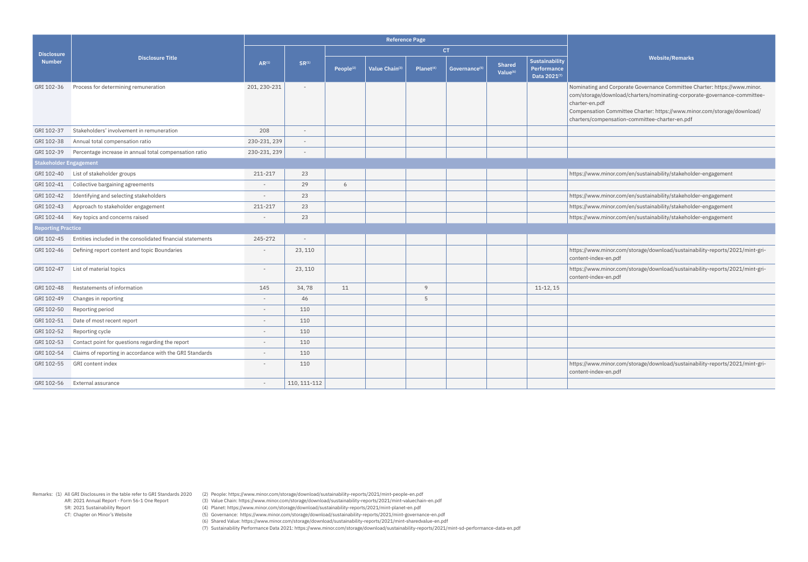Remarks: (1) All GRI Disclosures in the table refer to GRI Standards 2020 AR: 2021 Annual Report - Form 56-1 One Report SR: 2021 Sustainability Report CT: Chapter on Minor's Website

(2) People: https://www.minor.com/storage/download/sustainability-reports/2021/mint-people-en.pdf

(3) Value Chain: https://www.minor.com/storage/download/sustainability-reports/2021/mint-valuechain-en.pdf

(4) Planet: https://www.minor.com/storage/download/sustainability-reports/2021/mint-planet-en.pdf

(5) Governance: https://www.minor.com/storage/download/sustainability-reports/2021/mint-governance-en.pdf

(6) Shared Value: https://www.minor.com/storage/download/sustainability-reports/2021/mint-sharedvalue-en.pdf

(7) Sustainability Performance Data 2021: https://www.minor.com/storage/download/sustainability-reports/2021/mint-sd-performance-data-en.pdf

**Website/Remarks**

Corporate Governance Committee Charter: [https://www.minor.](https://www.minor.com/storage/download/charters/nominating-corporate-governance-committee-charter-en.pdf) wnload/charters/nominating-corporate-governance-committee-

ommittee Charter: [https://www.minor.com/storage/download/](https://www.minor.com/storage/download/charters/compensation-committee-charter-en.pdf) nsation-committee-charter-en.pdf

 $100$ .com/en/sustainability/stakeholder-engagement

 $100 \cdot \text{com}/\text{en}/\text{sustainability}/\text{stakeholder-engagement}$ 

101.com/en/sustainability/stakeholder-engagement

or.com/en/sustainability/stakeholder-engagement

or.com/storage/download/sustainability-reports/2021/mint-grin.pdf

or.com/storage/download/sustainability-reports/2021/mint-gri-ነ.pdf

or.com/storage/download/sustainability-reports/2021/mint-grin.pdf

|                               |                                                            | <b>Reference Page</b>    |                          |                       |                |                       |                           |                                       |                                               |                                                                                           |  |  |  |
|-------------------------------|------------------------------------------------------------|--------------------------|--------------------------|-----------------------|----------------|-----------------------|---------------------------|---------------------------------------|-----------------------------------------------|-------------------------------------------------------------------------------------------|--|--|--|
| <b>Disclosure</b>             |                                                            |                          |                          |                       |                |                       | <b>CT</b>                 |                                       |                                               |                                                                                           |  |  |  |
| <b>Number</b>                 | <b>Disclosure Title</b>                                    | $AR^{(1)}$               | $SR^{(1)}$               | People <sup>(2)</sup> | Value Chain(3) | Planet <sup>(4)</sup> | Governance <sup>(5)</sup> | <b>Shared</b><br>Value <sup>(6)</sup> | Sustainability<br>Performance<br>Data 2021(7) |                                                                                           |  |  |  |
| GRI 102-36                    | Process for determining remuneration                       | 201, 230-231             | $\overline{\phantom{a}}$ |                       |                |                       |                           |                                       |                                               | Nominating and<br>com/storage/dov<br>charter-en.pdf<br>Compensation Co<br>charters/comper |  |  |  |
| GRI 102-37                    | Stakeholders' involvement in remuneration                  | 208                      | $\overline{\phantom{a}}$ |                       |                |                       |                           |                                       |                                               |                                                                                           |  |  |  |
| GRI 102-38                    | Annual total compensation ratio                            | 230-231, 239             | $\overline{\phantom{a}}$ |                       |                |                       |                           |                                       |                                               |                                                                                           |  |  |  |
| GRI 102-39                    | Percentage increase in annual total compensation ratio     | 230-231, 239             | $\overline{\phantom{a}}$ |                       |                |                       |                           |                                       |                                               |                                                                                           |  |  |  |
| <b>Stakeholder Engagement</b> |                                                            |                          |                          |                       |                |                       |                           |                                       |                                               |                                                                                           |  |  |  |
| GRI 102-40                    | List of stakeholder groups                                 | 211-217                  | 23                       |                       |                |                       |                           |                                       |                                               | https://www.min                                                                           |  |  |  |
| GRI 102-41                    | Collective bargaining agreements                           | $\overline{\phantom{a}}$ | 29                       | 6                     |                |                       |                           |                                       |                                               |                                                                                           |  |  |  |
| GRI 102-42                    | Identifying and selecting stakeholders                     | $\overline{\phantom{a}}$ | 23                       |                       |                |                       |                           |                                       |                                               | https://www.min                                                                           |  |  |  |
| GRI 102-43                    | Approach to stakeholder engagement                         | 211-217                  | 23                       |                       |                |                       |                           |                                       |                                               | https://www.min                                                                           |  |  |  |
| GRI 102-44                    | Key topics and concerns raised                             | $\overline{\phantom{a}}$ | 23                       |                       |                |                       |                           |                                       |                                               | https://www.min                                                                           |  |  |  |
| <b>Reporting Practice</b>     |                                                            |                          |                          |                       |                |                       |                           |                                       |                                               |                                                                                           |  |  |  |
| GRI 102-45                    | Entities included in the consolidated financial statements | 245-272                  |                          |                       |                |                       |                           |                                       |                                               |                                                                                           |  |  |  |
| GRI 102-46                    | Defining report content and topic Boundaries               | $\overline{\phantom{a}}$ | 23, 110                  |                       |                |                       |                           |                                       |                                               | https://www.min<br>content-index-er                                                       |  |  |  |
| GRI 102-47                    | List of material topics                                    |                          | 23, 110                  |                       |                |                       |                           |                                       |                                               | https://www.min<br>content-index-er                                                       |  |  |  |
| GRI 102-48                    | Restatements of information                                | 145                      | 34,78                    | 11                    |                | 9                     |                           |                                       | 11-12, 15                                     |                                                                                           |  |  |  |
| GRI 102-49                    | Changes in reporting                                       | $\overline{\phantom{a}}$ | 46                       |                       |                | 5                     |                           |                                       |                                               |                                                                                           |  |  |  |
| GRI 102-50                    | Reporting period                                           | $\overline{\phantom{a}}$ | 110                      |                       |                |                       |                           |                                       |                                               |                                                                                           |  |  |  |
| GRI 102-51                    | Date of most recent report                                 |                          | 110                      |                       |                |                       |                           |                                       |                                               |                                                                                           |  |  |  |
| GRI 102-52                    | Reporting cycle                                            |                          | 110                      |                       |                |                       |                           |                                       |                                               |                                                                                           |  |  |  |
| GRI 102-53                    | Contact point for questions regarding the report           | $\overline{\phantom{a}}$ | 110                      |                       |                |                       |                           |                                       |                                               |                                                                                           |  |  |  |
| GRI 102-54                    | Claims of reporting in accordance with the GRI Standards   |                          | 110                      |                       |                |                       |                           |                                       |                                               |                                                                                           |  |  |  |
| GRI 102-55                    | GRI content index                                          |                          | 110                      |                       |                |                       |                           |                                       |                                               | https://www.min<br>content-index-er                                                       |  |  |  |
| GRI 102-56                    | External assurance                                         | $\overline{\phantom{a}}$ | 110, 111-112             |                       |                |                       |                           |                                       |                                               |                                                                                           |  |  |  |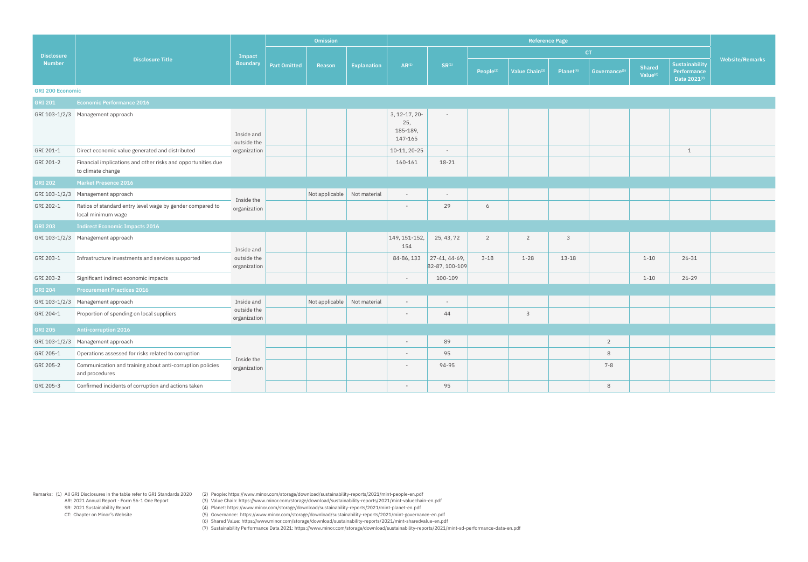Remarks: (1) All GRI Disclosures in the table refer to GRI Standards 2020 (2) People: https://www.minor.com/storage/download/sustainability-reports/2021/mint-people-en.pdf

(3) Value Chain: https://www.minor.com/storage/download/sustainability-reports/2021/mint-valuechain-en.pdf

(4) Planet: https://www.minor.com/storage/download/sustainability-reports/2021/mint-planet-en.pdf

(5) Governance: https://www.minor.com/storage/download/sustainability-reports/2021/mint-governance-en.pdf

(6) Shared Value: https://www.minor.com/storage/download/sustainability-reports/2021/mint-sharedvalue-en.pdf

|                         |                                                                                   |                             |                     | <b>Omission</b>       |              | <b>Reference Page</b>                       |                                 |                |                       |                           |                                |                                               |                        |  |
|-------------------------|-----------------------------------------------------------------------------------|-----------------------------|---------------------|-----------------------|--------------|---------------------------------------------|---------------------------------|----------------|-----------------------|---------------------------|--------------------------------|-----------------------------------------------|------------------------|--|
| <b>Disclosure</b>       |                                                                                   | <b>Impact</b>               |                     |                       |              |                                             |                                 |                |                       |                           | CT                             |                                               |                        |  |
| <b>Number</b>           | <b>Disclosure Title</b>                                                           | <b>Boundary</b>             | <b>Part Omitted</b> | Explanation<br>Reason | $AR^{(1)}$   | $SR^{(1)}$                                  | People <sup>(2)</sup>           | Value Chain(3) | Planet <sup>(4)</sup> | Governance <sup>(5)</sup> | Shared<br>Value <sup>(6)</sup> | Sustainability<br>Performance<br>Data 2021(7) | <b>Website/Remarks</b> |  |
| <b>GRI 200 Economic</b> |                                                                                   |                             |                     |                       |              |                                             |                                 |                |                       |                           |                                |                                               |                        |  |
| <b>GRI 201</b>          | <b>Economic Performance 2016</b>                                                  |                             |                     |                       |              |                                             |                                 |                |                       |                           |                                |                                               |                        |  |
|                         | GRI 103-1/2/3 Management approach                                                 | Inside and<br>outside the   |                     |                       |              | 3, 12-17, 20-<br>25,<br>185-189,<br>147-165 | $\overline{\phantom{a}}$        |                |                       |                           |                                |                                               |                        |  |
| GRI 201-1               | Direct economic value generated and distributed                                   | organization                |                     |                       |              | 10-11, 20-25                                | $\sim$                          |                |                       |                           |                                |                                               | $\mathbf 1$            |  |
| GRI 201-2               | Financial implications and other risks and opportunities due<br>to climate change |                             |                     |                       |              | 160-161                                     | 18-21                           |                |                       |                           |                                |                                               |                        |  |
| <b>GRI 202</b>          | Market Presence 2016                                                              |                             |                     |                       |              |                                             |                                 |                |                       |                           |                                |                                               |                        |  |
| GRI 103-1/2/3           | Management approach                                                               |                             |                     | Not applicable        | Not material | $\overline{\phantom{a}}$                    | $\sim$                          |                |                       |                           |                                |                                               |                        |  |
| GRI 202-1               | Ratios of standard entry level wage by gender compared to<br>local minimum wage   | Inside the<br>organization  |                     |                       |              |                                             | 29                              | 6              |                       |                           |                                |                                               |                        |  |
| <b>GRI 203</b>          | <b>Indirect Economic Impacts 2016</b>                                             |                             |                     |                       |              |                                             |                                 |                |                       |                           |                                |                                               |                        |  |
|                         | GRI 103-1/2/3 Management approach                                                 | Inside and                  |                     |                       |              | $149, 151 - 152,$<br>154                    | 25, 43, 72                      | $\overline{2}$ | $\overline{2}$        | 3                         |                                |                                               |                        |  |
| GRI 203-1               | Infrastructure investments and services supported                                 | outside the<br>organization |                     |                       |              | 84-86, 133                                  | 27-41, 44-69,<br>82-87, 100-109 | $3 - 18$       | $1 - 28$              | $13 - 18$                 |                                | $1 - 10$                                      | $26 - 31$              |  |
| GRI 203-2               | Significant indirect economic impacts                                             |                             |                     |                       |              | $\overline{\phantom{a}}$                    | 100-109                         |                |                       |                           |                                | $1 - 10$                                      | $26 - 29$              |  |
| <b>GRI 204</b>          | <b>Procurement Practices 2016</b>                                                 |                             |                     |                       |              |                                             |                                 |                |                       |                           |                                |                                               |                        |  |
| GRI 103-1/2/3           | Management approach                                                               | Inside and                  |                     | Not applicable        | Not material | $\overline{\phantom{0}}$                    | $\sim$                          |                |                       |                           |                                |                                               |                        |  |
| GRI 204-1               | Proportion of spending on local suppliers                                         | outside the<br>organization |                     |                       |              |                                             | 44                              |                | 3                     |                           |                                |                                               |                        |  |
| <b>GRI 205</b>          | <b>Anti-corruption 2016</b>                                                       |                             |                     |                       |              |                                             |                                 |                |                       |                           |                                |                                               |                        |  |
|                         | GRI 103-1/2/3 Management approach                                                 |                             |                     |                       |              |                                             | 89                              |                |                       |                           | $\overline{2}$                 |                                               |                        |  |
| GRI 205-1               | Operations assessed for risks related to corruption                               | Inside the                  |                     |                       |              | $\overline{\phantom{a}}$                    | 95                              |                |                       |                           | $\,8\,$                        |                                               |                        |  |
| GRI 205-2               | Communication and training about anti-corruption policies<br>and procedures       | organization                |                     |                       |              | $\overline{\phantom{0}}$                    | 94-95                           |                |                       |                           | $7 - 8$                        |                                               |                        |  |
| GRI 205-3               | Confirmed incidents of corruption and actions taken                               |                             |                     |                       |              | $\sim$                                      | 95                              |                |                       |                           | $\,8\,$                        |                                               |                        |  |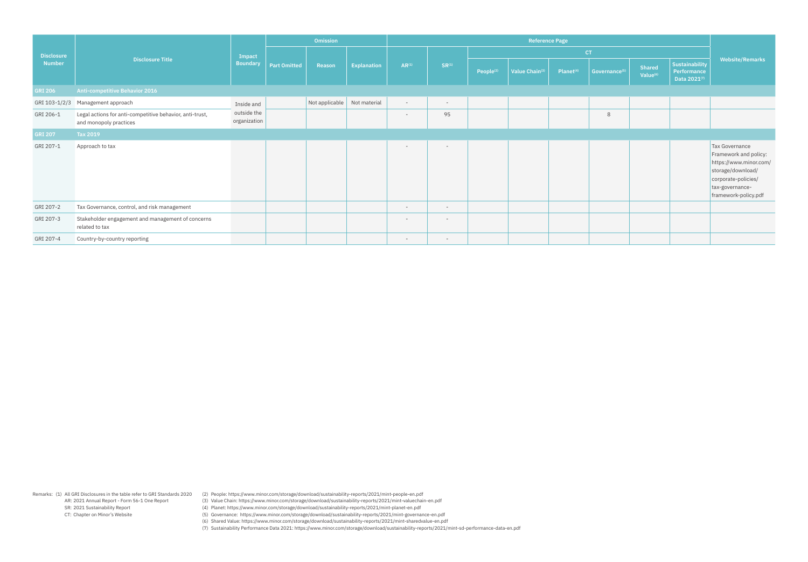Remarks: (1) All GRI Disclosures in the table refer to GRI Standards 2020 (2) People: https://www.minor.com/storage/download/sustainability-reports/2021/mint-people-en.pdf

(3) Value Chain: https://www.minor.com/storage/download/sustainability-reports/2021/mint-valuechain-en.pdf

(4) Planet: https://www.minor.com/storage/download/sustainability-reports/2021/mint-planet-en.pdf

(5) Governance: https://www.minor.com/storage/download/sustainability-reports/2021/mint-governance-en.pdf

(6) Shared Value: https://www.minor.com/storage/download/sustainability-reports/2021/mint-sharedvalue-en.pdf

|                   |                                                                                    |                             |                     | <b>Omission</b> |                    |                          |                          |                       | <b>Reference Page</b>      |                       |                           |                                |                                               |                                                                                                                                                          |
|-------------------|------------------------------------------------------------------------------------|-----------------------------|---------------------|-----------------|--------------------|--------------------------|--------------------------|-----------------------|----------------------------|-----------------------|---------------------------|--------------------------------|-----------------------------------------------|----------------------------------------------------------------------------------------------------------------------------------------------------------|
| <b>Disclosure</b> |                                                                                    | Impact                      |                     |                 |                    |                          |                          |                       |                            |                       | <b>CT</b>                 |                                |                                               |                                                                                                                                                          |
| <b>Number</b>     | <b>Disclosure Title</b>                                                            | <b>Boundary</b>             | <b>Part Omitted</b> | Reason          | <b>Explanation</b> | $AR^{(1)}$               | $SR^{(1)}$               | People <sup>(2)</sup> | Value Chain <sup>(3)</sup> | Planet <sup>(4)</sup> | Governance <sup>(5)</sup> | Shared<br>Value <sup>(6)</sup> | Sustainability<br>Performance<br>Data 2021(7) | <b>Website/Remarks</b>                                                                                                                                   |
| <b>GRI 206</b>    | <b>Anti-competitive Behavior 2016</b>                                              |                             |                     |                 |                    |                          |                          |                       |                            |                       |                           |                                |                                               |                                                                                                                                                          |
| GRI 103-1/2/3     | Management approach                                                                | Inside and                  |                     | Not applicable  | Not material       | $\overline{\phantom{a}}$ | $\sim$                   |                       |                            |                       |                           |                                |                                               |                                                                                                                                                          |
| GRI 206-1         | Legal actions for anti-competitive behavior, anti-trust,<br>and monopoly practices | outside the<br>organization |                     |                 |                    | $\overline{\phantom{a}}$ | 95                       |                       |                            |                       | 8                         |                                |                                               |                                                                                                                                                          |
| <b>GRI 207</b>    | Tax 2019                                                                           |                             |                     |                 |                    |                          |                          |                       |                            |                       |                           |                                |                                               |                                                                                                                                                          |
| GRI 207-1         | Approach to tax                                                                    |                             |                     |                 |                    | $\overline{\phantom{a}}$ | $\overline{\phantom{a}}$ |                       |                            |                       |                           |                                |                                               | Tax Governance<br>Framework and policy:<br>https://www.minor.com/<br>storage/download/<br>corporate-policies/<br>tax-governance-<br>framework-policy.pdf |
| GRI 207-2         | Tax Governance, control, and risk management                                       |                             |                     |                 |                    | $\overline{\phantom{a}}$ | $\overline{\phantom{0}}$ |                       |                            |                       |                           |                                |                                               |                                                                                                                                                          |
| GRI 207-3         | Stakeholder engagement and management of concerns<br>related to tax                |                             |                     |                 |                    | $\overline{\phantom{a}}$ | $\overline{\phantom{0}}$ |                       |                            |                       |                           |                                |                                               |                                                                                                                                                          |
| GRI 207-4         | Country-by-country reporting                                                       |                             |                     |                 |                    | $\overline{\phantom{0}}$ | $\sim$                   |                       |                            |                       |                           |                                |                                               |                                                                                                                                                          |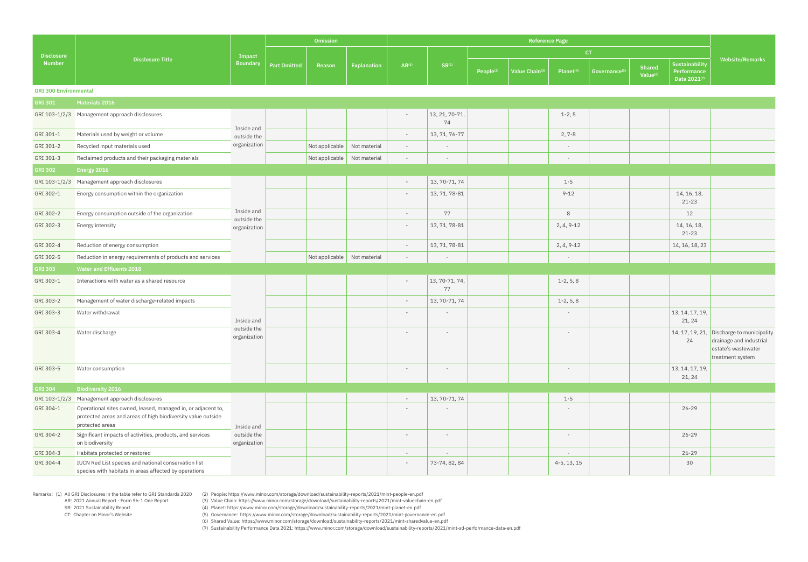Remarks: (1) All GRI Disclosures in the table refer to GRI Standards 2020 AR: 2021 Annual Report - Form 56-1 One Report

 SR: 2021 Sustainability Report CT: Chapter on Minor's Website (2) People: https://www.minor.com/storage/download/sustainability-reports/2021/mint-people-en.pdf

(3) Value Chain: https://www.minor.com/storage/download/sustainability-reports/2021/mint-valuechain-en.pdf (4) Planet: https://www.minor.com/storage/download/sustainability-reports/2021/mint-planet-en.pdf

(5) Governance: https://www.minor.com/storage/download/sustainability-reports/2021/mint-governance-en.pdf

(6) Shared Value: https://www.minor.com/storage/download/sustainability-reports/2021/mint-sharedvalue-en.pdf

|                              |                                                                                                                                                 |                             |                     | <b>Omission</b>             |                    | <b>Reference Page</b>    |                          |                |                           |                          |                           |                                |                                               |                                                                                                                 |
|------------------------------|-------------------------------------------------------------------------------------------------------------------------------------------------|-----------------------------|---------------------|-----------------------------|--------------------|--------------------------|--------------------------|----------------|---------------------------|--------------------------|---------------------------|--------------------------------|-----------------------------------------------|-----------------------------------------------------------------------------------------------------------------|
| <b>Disclosure</b>            |                                                                                                                                                 | Impact                      |                     |                             |                    |                          |                          |                |                           |                          | <b>CT</b>                 |                                |                                               |                                                                                                                 |
| <b>Number</b>                | <b>Disclosure Title</b>                                                                                                                         | <b>Boundary</b>             | <b>Part Omitted</b> | Reason                      | <b>Explanation</b> | $AR^{(1)}$               | SR <sup>(1)</sup>        | $People^{(2)}$ | Value Chain <sup>(3</sup> | Planet <sup>(4)</sup>    | Governance <sup>(5)</sup> | Shared<br>Value <sup>(6)</sup> | Sustainability<br>Performance<br>Data 2021(7) | <b>Website/Remarks</b>                                                                                          |
| <b>GRI 300 Environmental</b> |                                                                                                                                                 |                             |                     |                             |                    |                          |                          |                |                           |                          |                           |                                |                                               |                                                                                                                 |
| <b>GRI 301</b>               | Materials 2016                                                                                                                                  |                             |                     |                             |                    |                          |                          |                |                           |                          |                           |                                |                                               |                                                                                                                 |
|                              | GRI 103-1/2/3 Management approach disclosures                                                                                                   | Inside and                  |                     |                             |                    |                          | 13, 21, 70-71,<br>74     |                |                           | $1-2, 5$                 |                           |                                |                                               |                                                                                                                 |
| GRI 301-1                    | Materials used by weight or volume                                                                                                              | outside the                 |                     |                             |                    | $\overline{\phantom{a}}$ | 13, 71, 76-77            |                |                           | $2, 7 - 8$               |                           |                                |                                               |                                                                                                                 |
| GRI 301-2                    | Recycled input materials used                                                                                                                   | organization                |                     | Not applicable              | Not material       | $\overline{\phantom{a}}$ | $\overline{\phantom{a}}$ |                |                           | $\overline{\phantom{a}}$ |                           |                                |                                               |                                                                                                                 |
| GRI 301-3                    | Reclaimed products and their packaging materials                                                                                                |                             |                     | Not applicable Not material |                    | $\overline{\phantom{a}}$ | $\overline{\phantom{a}}$ |                |                           | $\overline{\phantom{a}}$ |                           |                                |                                               |                                                                                                                 |
| <b>GRI 302</b>               | Energy 2016                                                                                                                                     |                             |                     |                             |                    |                          |                          |                |                           |                          |                           |                                |                                               |                                                                                                                 |
| GRI 103-1/2/3                | Management approach disclosures                                                                                                                 |                             |                     |                             |                    | $\overline{\phantom{a}}$ | 13, 70-71, 74            |                |                           | $1 - 5$                  |                           |                                |                                               |                                                                                                                 |
| GRI 302-1                    | Energy consumption within the organization                                                                                                      |                             |                     |                             |                    | $\overline{\phantom{a}}$ | 13, 71, 78-81            |                |                           | $9 - 12$                 |                           |                                | 14, 16, 18,<br>$21 - 23$                      |                                                                                                                 |
| GRI 302-2                    | Energy consumption outside of the organization                                                                                                  | Inside and                  |                     |                             |                    | $\overline{\phantom{a}}$ | 77                       |                |                           | 8                        |                           |                                | 12                                            |                                                                                                                 |
| GRI 302-3                    | Energy intensity                                                                                                                                | outside the<br>organization |                     |                             |                    | $\overline{\phantom{a}}$ | 13, 71, 78-81            |                |                           | $2, 4, 9-12$             |                           |                                | 14, 16, 18,<br>$21 - 23$                      |                                                                                                                 |
| GRI 302-4                    | Reduction of energy consumption                                                                                                                 |                             |                     |                             |                    | $\overline{\phantom{a}}$ | 13, 71, 78-81            |                |                           | $2, 4, 9-12$             |                           |                                | 14, 16, 18, 23                                |                                                                                                                 |
| GRI 302-5                    | Reduction in energy requirements of products and services                                                                                       |                             |                     | Not applicable              | Not material       | $\overline{\phantom{a}}$ |                          |                |                           | $\overline{\phantom{a}}$ |                           |                                |                                               |                                                                                                                 |
| <b>GRI 303</b>               | <b>Water and Effluents 2018</b>                                                                                                                 |                             |                     |                             |                    |                          |                          |                |                           |                          |                           |                                |                                               |                                                                                                                 |
| GRI 303-1                    | Interactions with water as a shared resource                                                                                                    |                             |                     |                             |                    |                          | 13, 70-71, 74,<br>77     |                |                           | $1-2, 5, 8$              |                           |                                |                                               |                                                                                                                 |
| GRI 303-2                    | Management of water discharge-related impacts                                                                                                   |                             |                     |                             |                    | $\overline{\phantom{a}}$ | 13, 70-71, 74            |                |                           | $1-2, 5, 8$              |                           |                                |                                               |                                                                                                                 |
| GRI 303-3                    | Water withdrawal                                                                                                                                | Inside and                  |                     |                             |                    | $\overline{\phantom{a}}$ | $\overline{\phantom{a}}$ |                |                           | $\overline{\phantom{a}}$ |                           |                                | 13, 14, 17, 19,<br>21, 24                     |                                                                                                                 |
| GRI 303-4                    | Water discharge                                                                                                                                 | outside the<br>organization |                     |                             |                    | $\overline{\phantom{a}}$ | $\overline{\phantom{a}}$ |                |                           | $\overline{\phantom{a}}$ |                           |                                | 24                                            | 14, 17, 19, 21, Discharge to municipality<br>drainage and industrial<br>estate's wastewater<br>treatment system |
| GRI 303-5                    | Water consumption                                                                                                                               |                             |                     |                             |                    | $\overline{\phantom{a}}$ | $\sim$                   |                |                           | $\sim$                   |                           |                                | 13, 14, 17, 19,<br>21, 24                     |                                                                                                                 |
| <b>GRI 304</b>               | <b>Biodiversity 2016</b>                                                                                                                        |                             |                     |                             |                    |                          |                          |                |                           |                          |                           |                                |                                               |                                                                                                                 |
|                              | GRI 103-1/2/3 Management approach disclosures                                                                                                   |                             |                     |                             |                    | $\overline{\phantom{a}}$ | $13, 70-71, 74$          |                |                           | $1 - 5$                  |                           |                                |                                               |                                                                                                                 |
| GRI 304-1                    | Operational sites owned, leased, managed in, or adjacent to,<br>protected areas and areas of high biodiversity value outside<br>protected areas | Inside and                  |                     |                             |                    |                          |                          |                |                           |                          |                           |                                | $26 - 29$                                     |                                                                                                                 |
| GRI 304-2                    | Significant impacts of activities, products, and services<br>on biodiversity                                                                    | outside the<br>organization |                     |                             |                    | $\overline{\phantom{a}}$ | $\overline{\phantom{a}}$ |                |                           | $\overline{\phantom{a}}$ |                           |                                | $26 - 29$                                     |                                                                                                                 |
| GRI 304-3                    | Habitats protected or restored                                                                                                                  |                             |                     |                             |                    | $\overline{\phantom{a}}$ | $\overline{\phantom{a}}$ |                |                           | $\overline{\phantom{a}}$ |                           |                                | $26 - 29$                                     |                                                                                                                 |
| GRI 304-4                    | IUCN Red List species and national conservation list<br>species with habitats in areas affected by operations                                   |                             |                     |                             |                    | $\overline{\phantom{a}}$ | 73-74, 82, 84            |                |                           | $4-5, 13, 15$            |                           |                                | 30                                            |                                                                                                                 |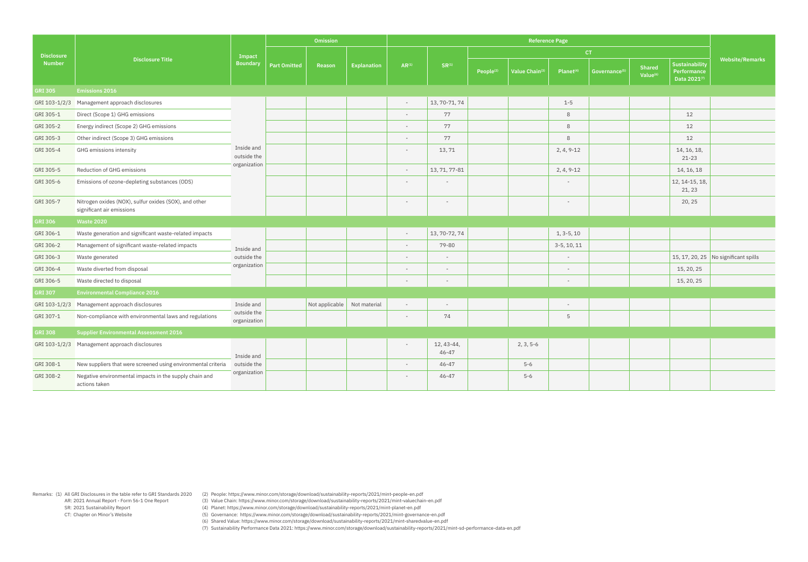Remarks: (1) All GRI Disclosures in the table refer to GRI Standards 2020 AR: 2021 Annual Report - Form 56-1 One Report SR: 2021 Sustainability Report CT: Chapter on Minor's Website

(2) People: https://www.minor.com/storage/download/sustainability-reports/2021/mint-people-en.pdf

(3) Value Chain: https://www.minor.com/storage/download/sustainability-reports/2021/mint-valuechain-en.pdf

(4) Planet: https://www.minor.com/storage/download/sustainability-reports/2021/mint-planet-en.pdf

(5) Governance: https://www.minor.com/storage/download/sustainability-reports/2021/mint-governance-en.pdf

(6) Shared Value: https://www.minor.com/storage/download/sustainability-reports/2021/mint-sharedvalue-en.pdf

|                   |                                                                                    |                             |                     | Omission       |                    |                          |                          |                       | <b>Reference Page</b> |                          |                          |                                |                                               |                                      |
|-------------------|------------------------------------------------------------------------------------|-----------------------------|---------------------|----------------|--------------------|--------------------------|--------------------------|-----------------------|-----------------------|--------------------------|--------------------------|--------------------------------|-----------------------------------------------|--------------------------------------|
| <b>Disclosure</b> |                                                                                    | Impact                      |                     |                |                    |                          |                          |                       |                       |                          | CT                       |                                |                                               |                                      |
| <b>Number</b>     | <b>Disclosure Title</b>                                                            | <b>Boundary</b>             | <b>Part Omitted</b> | Reason         | <b>Explanation</b> | $AR^{(1)}$               | $SR^{(1)}$               | People <sup>(2)</sup> | Value Chain(3)        | $Planet^{(4)}$           | Governance <sup>(5</sup> | Shared<br>Value <sup>(6)</sup> | Sustainability<br>Performance<br>Data 2021(7) | <b>Website/Remarks</b>               |
| <b>GRI 305</b>    | <b>Emissions 2016</b>                                                              |                             |                     |                |                    |                          |                          |                       |                       |                          |                          |                                |                                               |                                      |
| GRI 103-1/2/3     | Management approach disclosures                                                    |                             |                     |                |                    |                          | 13, 70-71, 74            |                       |                       | $1 - 5$                  |                          |                                |                                               |                                      |
| GRI 305-1         | Direct (Scope 1) GHG emissions                                                     |                             |                     |                |                    |                          | 77                       |                       |                       | 8                        |                          |                                | 12                                            |                                      |
| GRI 305-2         | Energy indirect (Scope 2) GHG emissions                                            |                             |                     |                |                    |                          | 77                       |                       |                       | 8                        |                          |                                | 12                                            |                                      |
| GRI 305-3         | Other indirect (Scope 3) GHG emissions                                             |                             |                     |                |                    |                          | 77                       |                       |                       | 8                        |                          |                                | 12                                            |                                      |
| GRI 305-4         | <b>GHG</b> emissions intensity                                                     | Inside and<br>outside the   |                     |                |                    |                          | 13,71                    |                       |                       | $2, 4, 9-12$             |                          |                                | 14, 16, 18,<br>$21 - 23$                      |                                      |
| GRI 305-5         | Reduction of GHG emissions                                                         | organization                |                     |                |                    | $\overline{\phantom{a}}$ | 13, 71, 77-81            |                       |                       | $2, 4, 9-12$             |                          |                                | 14, 16, 18                                    |                                      |
| GRI 305-6         | Emissions of ozone-depleting substances (ODS)                                      |                             |                     |                |                    |                          |                          |                       |                       |                          |                          |                                | 12, 14-15, 18,<br>21, 23                      |                                      |
| GRI 305-7         | Nitrogen oxides (NOX), sulfur oxides (SOX), and other<br>significant air emissions |                             |                     |                |                    |                          | $\overline{\phantom{a}}$ |                       |                       | $\overline{\phantom{0}}$ |                          |                                | 20, 25                                        |                                      |
| <b>GRI 306</b>    | <b>Waste 2020</b>                                                                  |                             |                     |                |                    |                          |                          |                       |                       |                          |                          |                                |                                               |                                      |
| GRI 306-1         | Waste generation and significant waste-related impacts                             |                             |                     |                |                    | $\overline{\phantom{a}}$ | 13, 70-72, 74            |                       |                       | $1, 3-5, 10$             |                          |                                |                                               |                                      |
| GRI 306-2         | Management of significant waste-related impacts                                    | Inside and                  |                     |                |                    | $\overline{\phantom{a}}$ | 79-80                    |                       |                       | $3-5, 10, 11$            |                          |                                |                                               |                                      |
| GRI 306-3         | Waste generated                                                                    | outside the                 |                     |                |                    |                          |                          |                       |                       | $\overline{\phantom{a}}$ |                          |                                |                                               | 15, 17, 20, 25 No significant spills |
| GRI 306-4         | Waste diverted from disposal                                                       | organization                |                     |                |                    |                          |                          |                       |                       |                          |                          |                                | 15, 20, 25                                    |                                      |
| GRI 306-5         | Waste directed to disposal                                                         |                             |                     |                |                    | $\overline{\phantom{a}}$ | $\sim$                   |                       |                       | $\sim$                   |                          |                                | 15, 20, 25                                    |                                      |
| <b>GRI 307</b>    | <b>Environmental Compliance 2016</b>                                               |                             |                     |                |                    |                          |                          |                       |                       |                          |                          |                                |                                               |                                      |
| GRI 103-1/2/3     | Management approach disclosures                                                    | Inside and                  |                     | Not applicable | Not material       | $\sim$                   | $\sim$                   |                       |                       | $\sim$                   |                          |                                |                                               |                                      |
| GRI 307-1         | Non-compliance with environmental laws and regulations                             | outside the<br>organization |                     |                |                    | $\overline{\phantom{a}}$ | 74                       |                       |                       | 5                        |                          |                                |                                               |                                      |
| <b>GRI 308</b>    | <b>Supplier Environmental Assessment 2016</b>                                      |                             |                     |                |                    |                          |                          |                       |                       |                          |                          |                                |                                               |                                      |
|                   | GRI 103-1/2/3 Management approach disclosures                                      | Inside and                  |                     |                |                    | $\overline{\phantom{a}}$ | 12, 43-44,<br>$46 - 47$  |                       | $2, 3, 5-6$           |                          |                          |                                |                                               |                                      |
| GRI 308-1         | New suppliers that were screened using environmental criteria                      | outside the                 |                     |                |                    | $\overline{\phantom{a}}$ | 46-47                    |                       | $5 - 6$               |                          |                          |                                |                                               |                                      |
| GRI 308-2         | Negative environmental impacts in the supply chain and<br>actions taken            | organization                |                     |                |                    | $\overline{\phantom{a}}$ | 46-47                    |                       | $5 - 6$               |                          |                          |                                |                                               |                                      |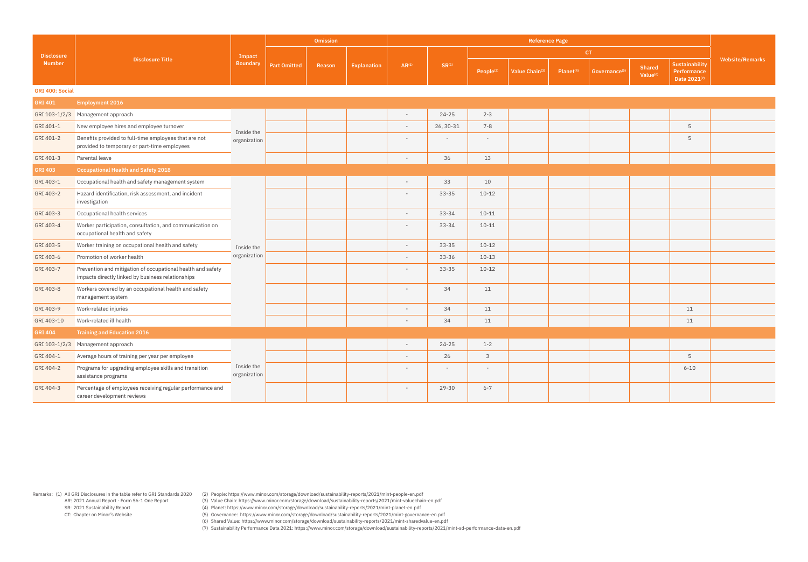Remarks: (1) All GRI Disclosures in the table refer to GRI Standards 2020 (2) People: https://www.minor.com/storage/download/sustainability-reports/2021/mint-people-en.pdf

(3) Value Chain: https://www.minor.com/storage/download/sustainability-reports/2021/mint-valuechain-en.pdf

(4) Planet: https://www.minor.com/storage/download/sustainability-reports/2021/mint-planet-en.pdf

(5) Governance: https://www.minor.com/storage/download/sustainability-reports/2021/mint-governance-en.pdf

(6) Shared Value: https://www.minor.com/storage/download/sustainability-reports/2021/mint-sharedvalue-en.pdf

| $\mathsf{ce}^{(5)}$ | <b>Shared</b><br>Value <sup>(6)</sup> | <b>Sustaina</b><br>Perform<br>Data 20 |
|---------------------|---------------------------------------|---------------------------------------|

|                        |                                                                                                                  |                                                                        | <b>Omission</b> |            |                          |                            |                       | <b>Reference Page</b>     |                                |                                               |                        |          |  |
|------------------------|------------------------------------------------------------------------------------------------------------------|------------------------------------------------------------------------|-----------------|------------|--------------------------|----------------------------|-----------------------|---------------------------|--------------------------------|-----------------------------------------------|------------------------|----------|--|
| <b>Disclosure</b>      |                                                                                                                  | Impact                                                                 |                 |            |                          |                            |                       |                           |                                | CT.                                           |                        |          |  |
| <b>Number</b>          | <b>Disclosure Title</b>                                                                                          | <b>Boundary</b><br><b>Part Omitted</b><br><b>Explanation</b><br>Reason | $AR^{(1)}$      | $SR^{(1)}$ | People <sup>(2)</sup>    | Value Chain <sup>(3)</sup> | Planet <sup>(4)</sup> | Governance <sup>(5)</sup> | Shared<br>Value <sup>(6)</sup> | Sustainability<br>Performance<br>Data 2021(7) | <b>Website/Remarks</b> |          |  |
| <b>GRI 400: Social</b> |                                                                                                                  |                                                                        |                 |            |                          |                            |                       |                           |                                |                                               |                        |          |  |
| <b>GRI 401</b>         | <b>Employment 2016</b>                                                                                           |                                                                        |                 |            |                          |                            |                       |                           |                                |                                               |                        |          |  |
| GRI 103-1/2/3          | Management approach                                                                                              |                                                                        |                 |            | $\overline{\phantom{a}}$ | $24 - 25$                  | $2 - 3$               |                           |                                |                                               |                        |          |  |
| GRI 401-1              | New employee hires and employee turnover                                                                         | Inside the                                                             |                 |            | $\overline{\phantom{a}}$ | 26, 30-31                  | $7 - 8$               |                           |                                |                                               |                        | 5        |  |
| GRI 401-2              | Benefits provided to full-time employees that are not<br>provided to temporary or part-time employees            | organization                                                           |                 |            | $\overline{\phantom{a}}$ | $\overline{\phantom{a}}$   | $\sim$                |                           |                                |                                               |                        | 5        |  |
| GRI 401-3              | Parental leave                                                                                                   |                                                                        |                 |            | $\overline{\phantom{a}}$ | 36                         | 13                    |                           |                                |                                               |                        |          |  |
| <b>GRI 403</b>         | <b>Occupational Health and Safety 2018</b>                                                                       |                                                                        |                 |            |                          |                            |                       |                           |                                |                                               |                        |          |  |
| GRI 403-1              | Occupational health and safety management system                                                                 |                                                                        |                 |            | $\overline{\phantom{a}}$ | 33                         | 10                    |                           |                                |                                               |                        |          |  |
| GRI 403-2              | Hazard identification, risk assessment, and incident<br>investigation                                            |                                                                        |                 |            |                          | $33 - 35$                  | $10 - 12$             |                           |                                |                                               |                        |          |  |
| GRI 403-3              | Occupational health services                                                                                     |                                                                        |                 |            | $\overline{\phantom{a}}$ | $33 - 34$                  | $10 - 11$             |                           |                                |                                               |                        |          |  |
| GRI 403-4              | Worker participation, consultation, and communication on<br>occupational health and safety                       |                                                                        |                 |            | $\overline{\phantom{a}}$ | $33 - 34$                  | $10 - 11$             |                           |                                |                                               |                        |          |  |
| GRI 403-5              | Worker training on occupational health and safety                                                                | Inside the                                                             |                 |            | $\overline{\phantom{a}}$ | $33 - 35$                  | $10 - 12$             |                           |                                |                                               |                        |          |  |
| GRI 403-6              | Promotion of worker health                                                                                       | organization                                                           |                 |            | $\overline{\phantom{a}}$ | $33 - 36$                  | $10 - 13$             |                           |                                |                                               |                        |          |  |
| GRI 403-7              | Prevention and mitigation of occupational health and safety<br>impacts directly linked by business relationships |                                                                        |                 |            |                          | $33 - 35$                  | $10 - 12$             |                           |                                |                                               |                        |          |  |
| GRI 403-8              | Workers covered by an occupational health and safety<br>management system                                        |                                                                        |                 |            | $\overline{\phantom{a}}$ | 34                         | 11                    |                           |                                |                                               |                        |          |  |
| GRI 403-9              | Work-related injuries                                                                                            |                                                                        |                 |            | $\overline{\phantom{a}}$ | 34                         | 11                    |                           |                                |                                               |                        | 11       |  |
| GRI 403-10             | Work-related ill health                                                                                          |                                                                        |                 |            |                          | 34                         | 11                    |                           |                                |                                               |                        | 11       |  |
| <b>GRI 404</b>         | <b>Training and Education 2016</b>                                                                               |                                                                        |                 |            |                          |                            |                       |                           |                                |                                               |                        |          |  |
|                        | GRI 103-1/2/3 Management approach                                                                                |                                                                        |                 |            | $\overline{\phantom{a}}$ | $24 - 25$                  | $1 - 2$               |                           |                                |                                               |                        |          |  |
| GRI 404-1              | Average hours of training per year per employee                                                                  |                                                                        |                 |            | $\overline{\phantom{a}}$ | 26                         | $\mathsf{3}$          |                           |                                |                                               |                        | 5        |  |
| GRI 404-2              | Programs for upgrading employee skills and transition<br>assistance programs                                     | Inside the<br>organization                                             |                 |            | $\overline{\phantom{a}}$ | $-$                        | $-$                   |                           |                                |                                               |                        | $6 - 10$ |  |
| GRI 404-3              | Percentage of employees receiving regular performance and<br>career development reviews                          |                                                                        |                 |            | $\overline{\phantom{a}}$ | 29-30                      | $6 - 7$               |                           |                                |                                               |                        |          |  |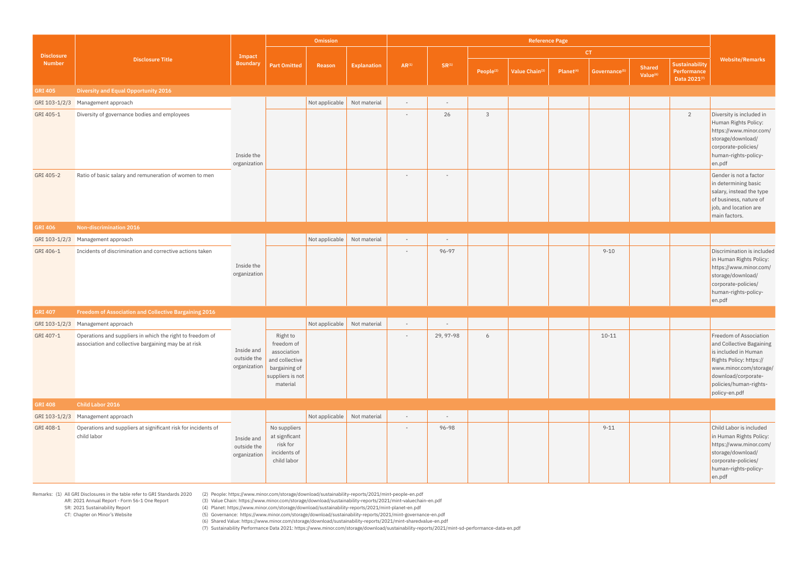AR: 2021 Annual Report - Form 56-1 One Report

 SR: 2021 Sustainability Report CT: Chapter on Minor's Website

Remarks: (1) All GRI Disclosures in the table refer to GRI Standards 2020 (2) People: https://www.minor.com/storage/download/sustainability-reports/2021/mint-people-en.pdf (3) Value Chain: https://www.minor.com/storage/download/sustainability-reports/2021/mint-valuechain-en.pdf

(4) Planet: https://www.minor.com/storage/download/sustainability-reports/2021/mint-planet-en.pdf

(5) Governance: https://www.minor.com/storage/download/sustainability-reports/2021/mint-governance-en.pdf

(6) Shared Value: https://www.minor.com/storage/download/sustainability-reports/2021/mint-sharedvalue-en.pdf

|                   |                                                                                                                             |                                           |                                                                                                          | Omission                    |                    | <b>Reference Page</b>      |                          |                       |                |                       |                           |                                |                                               |                                                                                                                                                                                                   |
|-------------------|-----------------------------------------------------------------------------------------------------------------------------|-------------------------------------------|----------------------------------------------------------------------------------------------------------|-----------------------------|--------------------|----------------------------|--------------------------|-----------------------|----------------|-----------------------|---------------------------|--------------------------------|-----------------------------------------------|---------------------------------------------------------------------------------------------------------------------------------------------------------------------------------------------------|
| <b>Disclosure</b> |                                                                                                                             | Impact                                    |                                                                                                          |                             |                    |                            |                          |                       |                |                       | CT.                       |                                |                                               |                                                                                                                                                                                                   |
| <b>Number</b>     | <b>Disclosure Title</b>                                                                                                     | <b>Boundary</b>                           | <b>Part Omitted</b>                                                                                      | Reason                      | <b>Explanation</b> | $AR^{(1)}$                 | $SR^{(1)}$               | People <sup>(2)</sup> | Value Chain(3) | Planet <sup>(4)</sup> | Governance <sup>(5)</sup> | Shared<br>Value <sup>(6)</sup> | Sustainability<br>Performance<br>Data 2021(7) | <b>Website/Remarks</b>                                                                                                                                                                            |
| <b>GRI 405</b>    | <b>Diversity and Equal Opportunity 2016</b>                                                                                 |                                           |                                                                                                          |                             |                    |                            |                          |                       |                |                       |                           |                                |                                               |                                                                                                                                                                                                   |
|                   | GRI 103-1/2/3 Management approach                                                                                           |                                           |                                                                                                          | Not applicable Not material |                    | $\overline{\phantom{a}}$   | $\overline{\phantom{a}}$ |                       |                |                       |                           |                                |                                               |                                                                                                                                                                                                   |
| GRI 405-1         | Diversity of governance bodies and employees                                                                                | Inside the<br>organization                |                                                                                                          |                             |                    | $\overline{\phantom{a}}$   | 26                       | 3                     |                |                       |                           |                                | $\overline{2}$                                | Diversity is included in<br>Human Rights Policy:<br>https://www.minor.com/<br>storage/download/<br>corporate-policies/<br>human-rights-policy-<br>en.pdf                                          |
| GRI 405-2         | Ratio of basic salary and remuneration of women to men                                                                      |                                           |                                                                                                          |                             |                    |                            | $\overline{\phantom{a}}$ |                       |                |                       |                           |                                |                                               | Gender is not a factor<br>in determining basic<br>salary, instead the type<br>of business, nature of<br>job, and location are<br>main factors.                                                    |
| <b>GRI 406</b>    | Non-discrimination 2016                                                                                                     |                                           |                                                                                                          |                             |                    |                            |                          |                       |                |                       |                           |                                |                                               |                                                                                                                                                                                                   |
|                   | GRI 103-1/2/3 Management approach                                                                                           |                                           |                                                                                                          | Not applicable Not material |                    | $\overline{\phantom{a}}$   | $\overline{\phantom{a}}$ |                       |                |                       |                           |                                |                                               |                                                                                                                                                                                                   |
| GRI 406-1         | Incidents of discrimination and corrective actions taken                                                                    | Inside the<br>organization                |                                                                                                          |                             |                    |                            | 96-97                    |                       |                |                       | $9 - 10$                  |                                |                                               | Discrimination is included<br>in Human Rights Policy:<br>https://www.minor.com/<br>storage/download/<br>corporate-policies/<br>human-rights-policy-<br>en.pdf                                     |
| <b>GRI 407</b>    | Freedom of Association and Collective Bargaining 2016                                                                       |                                           |                                                                                                          |                             |                    |                            |                          |                       |                |                       |                           |                                |                                               |                                                                                                                                                                                                   |
|                   | GRI 103-1/2/3 Management approach                                                                                           |                                           |                                                                                                          | Not applicable Not material |                    | $\overline{\phantom{a}}$   | $\overline{\phantom{a}}$ |                       |                |                       |                           |                                |                                               |                                                                                                                                                                                                   |
|                   | GRI 407-1 Operations and suppliers in which the right to freedom of<br>association and collective bargaining may be at risk | Inside and<br>outside the<br>organization | Right to<br>freedom of<br>association<br>and collective<br>bargaining of<br>suppliers is not<br>material |                             |                    | $\sim$ 100 $\mu$ m $^{-1}$ | 29, 97-98                | 6                     |                |                       | $10 - 11$                 |                                |                                               | Freedom of Association<br>and Collective Bagaining<br>is included in Human<br>Rights Policy: https://<br>www.minor.com/storage/<br>download/corporate-<br>policies/human-rights-<br>policy-en.pdf |
| <b>GRI 408</b>    | Child Labor 2016                                                                                                            |                                           |                                                                                                          |                             |                    |                            |                          |                       |                |                       |                           |                                |                                               |                                                                                                                                                                                                   |
|                   | GRI 103-1/2/3 Management approach                                                                                           |                                           |                                                                                                          | Not applicable Not material |                    | $\overline{\phantom{a}}$   | $\overline{\phantom{a}}$ |                       |                |                       |                           |                                |                                               |                                                                                                                                                                                                   |
| GRI 408-1         | Operations and suppliers at significant risk for incidents of<br>child labor                                                | Inside and<br>outside the<br>organization | No suppliers<br>at signficant<br>risk for<br>incidents of<br>child labor                                 |                             |                    | $\overline{\phantom{a}}$   | 96-98                    |                       |                |                       | $9 - 11$                  |                                |                                               | Child Labor is included<br>in Human Rights Policy:<br>https://www.minor.com/<br>storage/download/<br>corporate-policies/<br>human-rights-policy-<br>en.pdf                                        |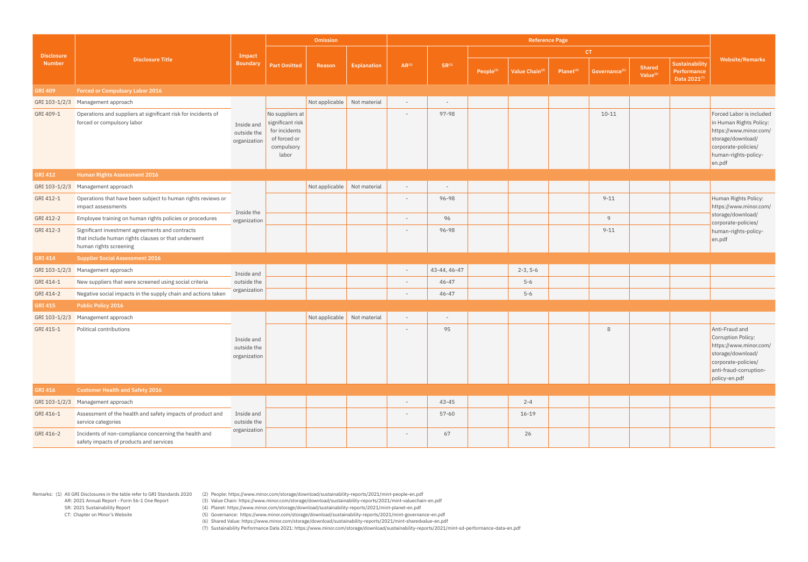Remarks: (1) All GRI Disclosures in the table refer to GRI Standards 2020 (2) People: https://www.minor.com/storage/download/sustainability-reports/2021/mint-people-en.pdf

(3) Value Chain: https://www.minor.com/storage/download/sustainability-reports/2021/mint-valuechain-en.pdf

(4) Planet: https://www.minor.com/storage/download/sustainability-reports/2021/mint-planet-en.pdf

(5) Governance: https://www.minor.com/storage/download/sustainability-reports/2021/mint-governance-en.pdf

(6) Shared Value: https://www.minor.com/storage/download/sustainability-reports/2021/mint-sharedvalue-en.pdf

| <b>Disclosure</b><br><b>Number</b> | <b>Disclosure Title</b>                                                                                                          | Impact<br><b>Boundary</b>                 | <b>Omission</b>                                                                             |                             |                    | <b>Reference Page</b>    |              |                       |                |                       |                           |                                       |                                               |                                                                                                                                                             |
|------------------------------------|----------------------------------------------------------------------------------------------------------------------------------|-------------------------------------------|---------------------------------------------------------------------------------------------|-----------------------------|--------------------|--------------------------|--------------|-----------------------|----------------|-----------------------|---------------------------|---------------------------------------|-----------------------------------------------|-------------------------------------------------------------------------------------------------------------------------------------------------------------|
|                                    |                                                                                                                                  |                                           |                                                                                             | Reason                      | <b>Explanation</b> | $AR^{(1)}$               | $SR^{(1)}$   | CT.                   |                |                       |                           |                                       |                                               |                                                                                                                                                             |
|                                    |                                                                                                                                  |                                           | <b>Part Omitted</b>                                                                         |                             |                    |                          |              | People <sup>(2)</sup> | Value Chain(3) | Planet <sup>(4)</sup> | Governance <sup>(5)</sup> | <b>Shared</b><br>Value <sup>(6)</sup> | Sustainability<br>Performance<br>Data 2021(7) | <b>Website/Remarks</b>                                                                                                                                      |
| <b>GRI 409</b>                     | <b>Forced or Compulsary Labor 2016</b>                                                                                           |                                           |                                                                                             |                             |                    |                          |              |                       |                |                       |                           |                                       |                                               |                                                                                                                                                             |
| GRI 103-1/2/3                      | Management approach                                                                                                              | Inside and<br>outside the<br>organization |                                                                                             | Not applicable Not material |                    | $\overline{\phantom{a}}$ |              |                       |                |                       |                           |                                       |                                               |                                                                                                                                                             |
| GRI 409-1                          | Operations and suppliers at significant risk for incidents of<br>forced or compulsory labor                                      |                                           | No suppliers at<br>significant risk<br>for incidents<br>of forced or<br>compulsory<br>labor |                             |                    |                          | 97-98        |                       |                |                       | $10 - 11$                 |                                       |                                               | Forced Labor is included<br>in Human Rights Policy:<br>https://www.minor.com/<br>storage/download/<br>corporate-policies/<br>human-rights-policy-<br>en.pdf |
| <b>GRI 412</b>                     | <b>Human Rights Assessment 2016</b>                                                                                              |                                           |                                                                                             |                             |                    |                          |              |                       |                |                       |                           |                                       |                                               |                                                                                                                                                             |
| GRI 103-1/2/3                      | Management approach                                                                                                              |                                           |                                                                                             | Not applicable Not material |                    | $\overline{\phantom{a}}$ |              |                       |                |                       |                           |                                       |                                               |                                                                                                                                                             |
| GRI 412-1                          | Operations that have been subject to human rights reviews or<br>impact assessments                                               | Inside the<br>organization                |                                                                                             |                             |                    |                          | 96-98        |                       |                |                       | $9 - 11$                  |                                       |                                               | Human Rights Policy:<br>https://www.minor.com/<br>storage/download/<br>corporate-policies/<br>human-rights-policy-<br>en.pdf                                |
| GRI 412-2                          | Employee training on human rights policies or procedures                                                                         |                                           |                                                                                             |                             |                    | $\overline{\phantom{a}}$ | 96           |                       |                |                       | 9                         |                                       |                                               |                                                                                                                                                             |
| GRI 412-3                          | Significant investment agreements and contracts<br>that include human rights clauses or that underwent<br>human rights screening |                                           |                                                                                             |                             |                    |                          | 96-98        |                       |                |                       | $9 - 11$                  |                                       |                                               |                                                                                                                                                             |
| <b>GRI 414</b>                     | <b>Supplier Social Assessment 2016</b>                                                                                           |                                           |                                                                                             |                             |                    |                          |              |                       |                |                       |                           |                                       |                                               |                                                                                                                                                             |
| GRI 103-1/2/3                      | Management approach                                                                                                              | Inside and                                |                                                                                             |                             |                    |                          | 43-44, 46-47 |                       | $2-3, 5-6$     |                       |                           |                                       |                                               |                                                                                                                                                             |
| GRI 414-1                          | New suppliers that were screened using social criteria                                                                           | outside the                               |                                                                                             |                             |                    | $\overline{\phantom{a}}$ | $46 - 47$    |                       | $5-6$          |                       |                           |                                       |                                               |                                                                                                                                                             |
| GRI 414-2                          | Negative social impacts in the supply chain and actions taken                                                                    | organization                              |                                                                                             |                             |                    | $\overline{\phantom{a}}$ | 46-47        |                       | $5 - 6$        |                       |                           |                                       |                                               |                                                                                                                                                             |
| <b>GRI 415</b>                     | <b>Public Policy 2016</b>                                                                                                        |                                           |                                                                                             |                             |                    |                          |              |                       |                |                       |                           |                                       |                                               |                                                                                                                                                             |
| GRI 103-1/2/3                      | Management approach                                                                                                              |                                           |                                                                                             | Not applicable Not material |                    | $\overline{\phantom{a}}$ |              |                       |                |                       |                           |                                       |                                               |                                                                                                                                                             |
| GRI 415-1                          | Political contributions                                                                                                          | Inside and<br>outside the<br>organization |                                                                                             |                             |                    | $\overline{\phantom{a}}$ | 95           |                       |                |                       | 8                         |                                       |                                               | Anti-Fraud and<br>Corruption Policy:<br>https://www.minor.com/<br>storage/download/<br>corporate-policies/<br>anti-fraud-corruption-<br>policy-en.pdf       |
| <b>GRI 416</b>                     | <b>Customer Health and Safety 2016</b>                                                                                           |                                           |                                                                                             |                             |                    |                          |              |                       |                |                       |                           |                                       |                                               |                                                                                                                                                             |
| GRI 103-1/2/3                      | Management approach                                                                                                              |                                           |                                                                                             |                             |                    |                          | $43 - 45$    |                       | $2 - 4$        |                       |                           |                                       |                                               |                                                                                                                                                             |
| GRI 416-1                          | Assessment of the health and safety impacts of product and<br>service categories                                                 | Inside and<br>outside the                 |                                                                                             |                             |                    |                          | $57 - 60$    |                       | $16 - 19$      |                       |                           |                                       |                                               |                                                                                                                                                             |
| GRI 416-2                          | Incidents of non-compliance concerning the health and<br>safety impacts of products and services                                 | organization                              |                                                                                             |                             |                    | $\overline{\phantom{a}}$ | 67           |                       | 26             |                       |                           |                                       |                                               |                                                                                                                                                             |